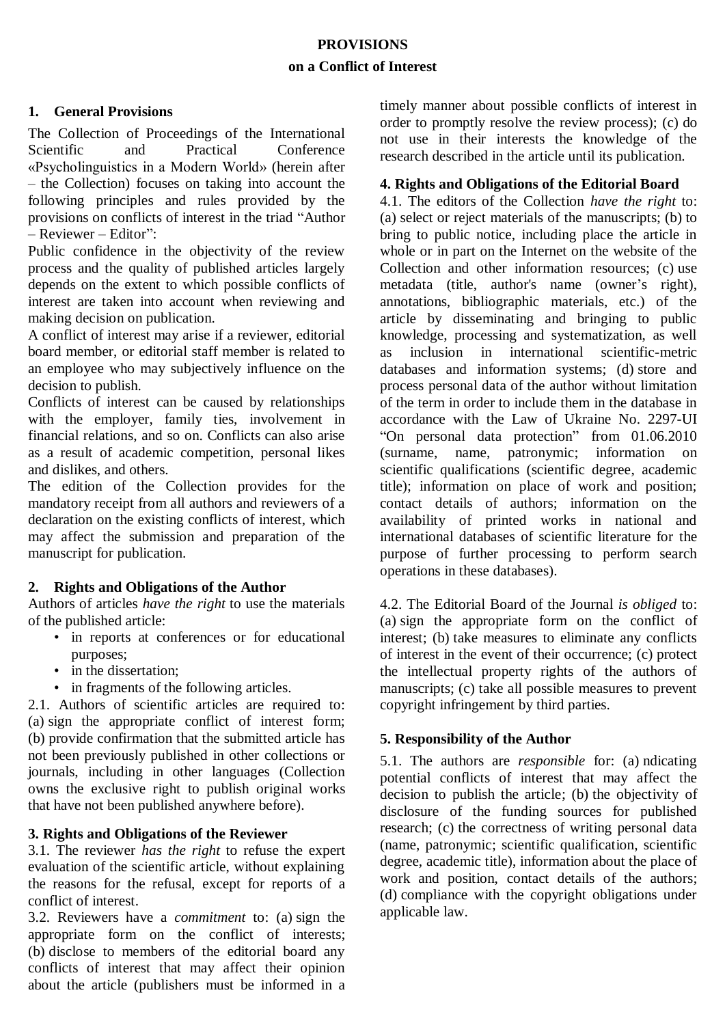# **PROVISIONS on a Conflict of Interest**

## **1. General Provisions**

The Collection of Proceedings of the International Scientific and Practical Conference «Psycholinguistics in a Modern World» (herein after – the Collection) focuses on taking into account the following principles and rules provided by the provisions on conflicts of interest in the triad "Author – Reviewer – Editor":

Public confidence in the objectivity of the review process and the quality of published articles largely depends on the extent to which possible conflicts of interest are taken into account when reviewing and making decision on publication.

A conflict of interest may arise if a reviewer, editorial board member, or editorial staff member is related to an employee who may subjectively influence on the decision to publish.

Conflicts of interest can be caused by relationships with the employer, family ties, involvement in financial relations, and so on. Conflicts can also arise as a result of academic competition, personal likes and dislikes, and others.

The edition of the Collection provides for the mandatory receipt from all authors and reviewers of a declaration on the existing conflicts of interest, which may affect the submission and preparation of the manuscript for publication.

## **2. Rights and Obligations of the Author**

Authors of articles *have the right* to use the materials of the published article:

- in reports at conferences or for educational purposes;
- in the dissertation:
- in fragments of the following articles.

2.1. Authors of scientific articles are required to: (a) sign the appropriate conflict of interest form; (b) provide confirmation that the submitted article has not been previously published in other collections or journals, including in other languages (Collection owns the exclusive right to publish original works that have not been published anywhere before).

## **3. Rights and Obligations of the Reviewer**

3.1. The reviewer *has the right* to refuse the expert evaluation of the scientific article, without explaining the reasons for the refusal, except for reports of a conflict of interest.

3.2. Reviewers have a *commitment* to: (a) sign the appropriate form on the conflict of interests; (b) disclose to members of the editorial board any conflicts of interest that may affect their opinion about the article (publishers must be informed in a timely manner about possible conflicts of interest in order to promptly resolve the review process); (c) do not use in their interests the knowledge of the research described in the article until its publication.

#### **4. Rights and Obligations of the Editorial Board**

4.1. The editors of the Collection *have the right* to: (a) select or reject materials of the manuscripts; (b) to bring to public notice, including place the article in whole or in part on the Internet on the website of the Collection and other information resources; (c) use metadata (title, author's name (owner's right), annotations, bibliographic materials, etc.) of the article by disseminating and bringing to public knowledge, processing and systematization, as well as inclusion in international scientific-metric databases and information systems; (d) store and process personal data of the author without limitation of the term in order to include them in the database in accordance with the Law of Ukraine No. 2297-UI "On personal data protection" from 01.06.2010 (surname, name, patronymic; information on scientific qualifications (scientific degree, academic title); information on place of work and position; contact details of authors; information on the availability of printed works in national and international databases of scientific literature for the purpose of further processing to perform search operations in these databases).

4.2. The Editorial Board of the Journal *is obliged* to: (a) sign the appropriate form on the conflict of interest; (b) take measures to eliminate any conflicts of interest in the event of their occurrence; (c) protect the intellectual property rights of the authors of manuscripts; (c) take all possible measures to prevent copyright infringement by third parties.

## **5. Responsibility of the Author**

5.1. The authors are *responsible* for: (a) ndicating potential conflicts of interest that may affect the decision to publish the article; (b) the objectivity of disclosure of the funding sources for published research; (c) the correctness of writing personal data (name, patronymic; scientific qualification, scientific degree, academic title), information about the place of work and position, contact details of the authors; (d) compliance with the copyright obligations under applicable law.